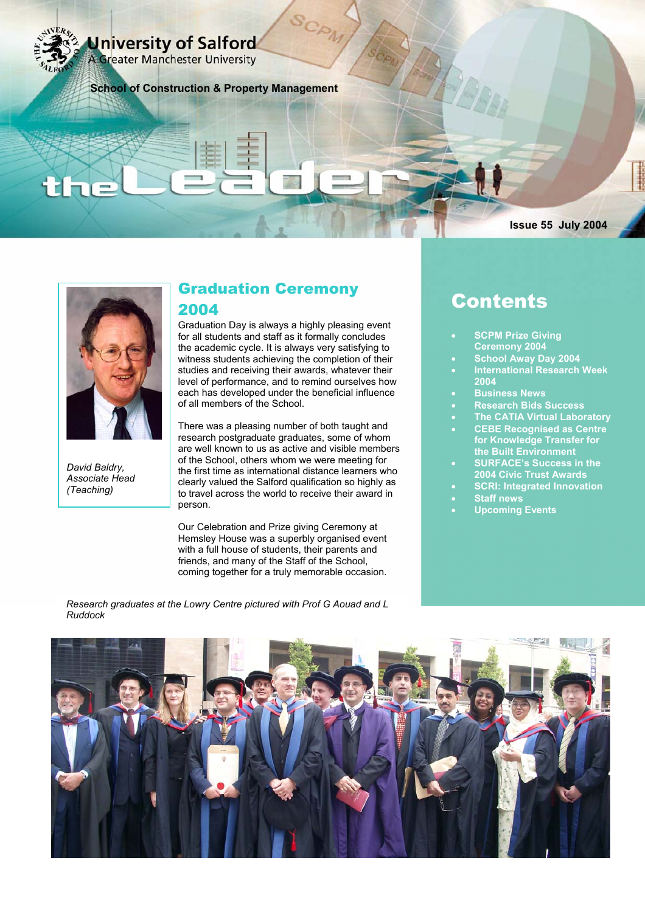University of Salford

**A Greater Manchester University** 

**School of Construction & Property Management** 

### **Issue 55 July 2004**



*David Baldry, Associate Head (Teaching)* 

# Graduation Ceremony 2004

Graduation Day is always a highly pleasing event for all students and staff as it formally concludes the academic cycle. It is always very satisfying to witness students achieving the completion of their studies and receiving their awards, whatever their level of performance, and to remind ourselves how each has developed under the beneficial influence of all members of the School.

There was a pleasing number of both taught and research postgraduate graduates, some of whom are well known to us as active and visible members of the School, others whom we were meeting for the first time as international distance learners who clearly valued the Salford qualification so highly as to travel across the world to receive their award in person.

Our Celebration and Prize giving Ceremony at Hemsley House was a superbly organised event with a full house of students, their parents and friends, and many of the Staff of the School, coming together for a truly memorable occasion.

*Research graduates at the Lowry Centre pictured with Prof G Aouad and L Ruddock* 

# Contents

- **SCPM Prize Giving Ceremony 2004**
- **School Away Day 2004**
- **International Research Week 2004**
- **Business News**
- **Research Bids Success**
- **The CATIA Virtual Laboratory** 
	- **CEBE Recognised as Centre for Knowledge Transfer for the Built Environment**
- **SURFACE's Success in the 2004 Civic Trust Awards**
- **SCRI: Integrated Innovation**  • **Staff news**
- **Upcoming Events**

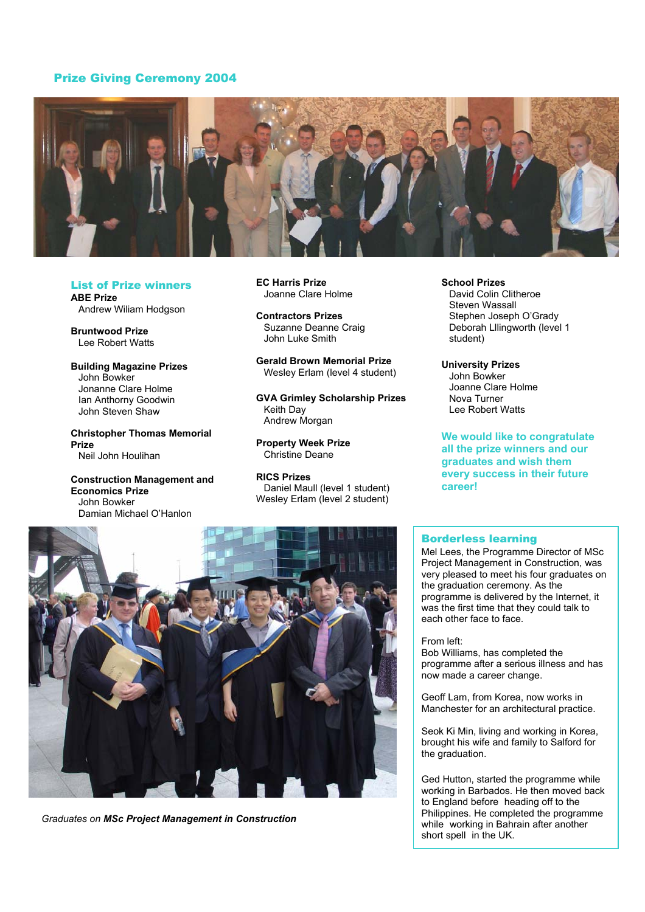# Prize Giving Ceremony 2004



List of Prize winners **ABE Prize**  Andrew Wiliam Hodgson

**Bruntwood Prize**  Lee Robert Watts

**Building Magazine Prizes**  John Bowker Jonanne Clare Holme Ian Anthorny Goodwin John Steven Shaw

**Christopher Thomas Memorial Prize**  Neil John Houlihan

**Construction Management and Economics Prize**  John Bowker Damian Michael O'Hanlon

**EC Harris Prize** Joanne Clare Holme

**Contractors Prizes**  Suzanne Deanne Craig John Luke Smith

**Gerald Brown Memorial Prize**  Wesley Erlam (level 4 student)

**GVA Grimley Scholarship Prizes**  Keith Day Andrew Morgan

**Property Week Prize**  Christine Deane

**RICS Prizes**  Daniel Maull (level 1 student) Wesley Erlam (level 2 student)

**School Prizes** 

David Colin Clitheroe Steven Wassall Stephen Joseph O'Grady Deborah Lllingworth (level 1 student)

**University Prizes**  John Bowker Joanne Clare Holme Nova Turner Lee Robert Watts

**We would like to congratulate all the prize winners and our graduates and wish them every success in their future career!** 

## Borderless learning

Mel Lees, the Programme Director of MSc Project Management in Construction, was very pleased to meet his four graduates on the graduation ceremony. As the programme is delivered by the Internet, it was the first time that they could talk to each other face to face.

From left:

Bob Williams, has completed the programme after a serious illness and has now made a career change.

Geoff Lam, from Korea, now works in Manchester for an architectural practice.

Seok Ki Min, living and working in Korea, brought his wife and family to Salford for the graduation.

Ged Hutton, started the programme while working in Barbados. He then moved back to England before heading off to the Philippines. He completed the programme while working in Bahrain after another short spell in the UK.



*Graduates on MSc Project Management in Construction*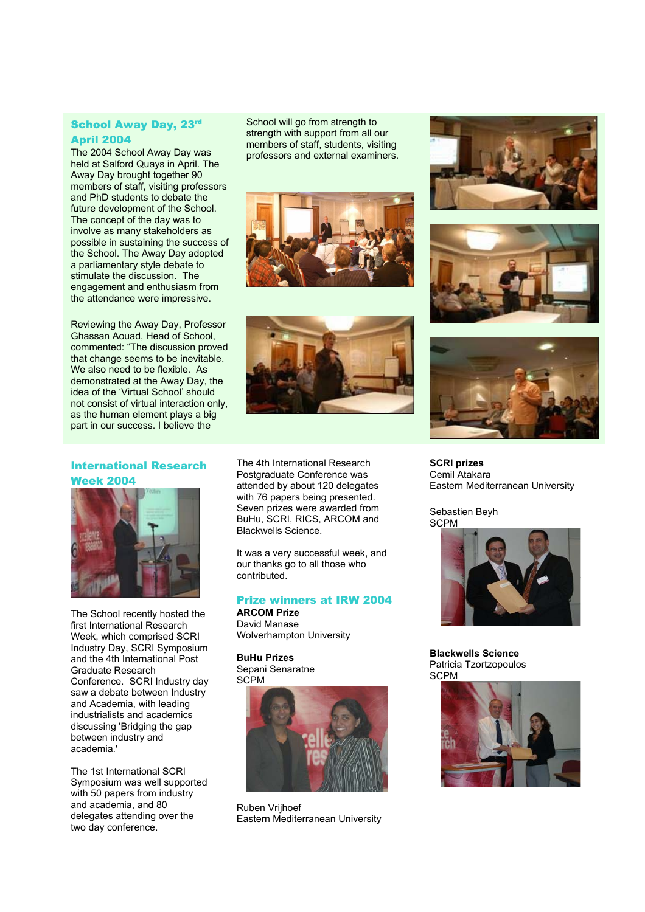# School Away Day, 23rd April 2004

The 2004 School Away Day was held at Salford Quays in April. The Away Day brought together 90 members of staff, visiting professors and PhD students to debate the future development of the School. The concept of the day was to involve as many stakeholders as possible in sustaining the success of the School. The Away Day adopted a parliamentary style debate to stimulate the discussion. The engagement and enthusiasm from the attendance were impressive.

Reviewing the Away Day, Professor Ghassan Aouad, Head of School, commented: "The discussion proved that change seems to be inevitable. We also need to be flexible. As demonstrated at the Away Day, the idea of the 'Virtual School' should not consist of virtual interaction only, as the human element plays a big part in our success. I believe the

International Research Week 2004



The School recently hosted the first International Research Week, which comprised SCRI Industry Day, SCRI Symposium and the 4th International Post Graduate Research Conference. SCRI Industry day saw a debate between Industry and Academia, with leading industrialists and academics discussing 'Bridging the gap between industry and academia.'

The 1st International SCRI Symposium was well supported with 50 papers from industry and academia, and 80 delegates attending over the two day conference.

School will go from strength to strength with support from all our members of staff, students, visiting professors and external examiners.





The 4th International Research Postgraduate Conference was attended by about 120 delegates with 76 papers being presented. Seven prizes were awarded from BuHu, SCRI, RICS, ARCOM and Blackwells Science.

It was a very successful week, and our thanks go to all those who contributed.

# Prize winners at IRW 2004

**ARCOM Prize**  David Manase Wolverhampton University

**BuHu Prizes**  Sepani Senaratne **SCPM** 



Ruben Vrijhoef Eastern Mediterranean University







**SCRI prizes**  Cemil Atakara Eastern Mediterranean University

Sebastien Beyh **SCPM** 



**Blackwells Science**  Patricia Tzortzopoulos **SCPM** 

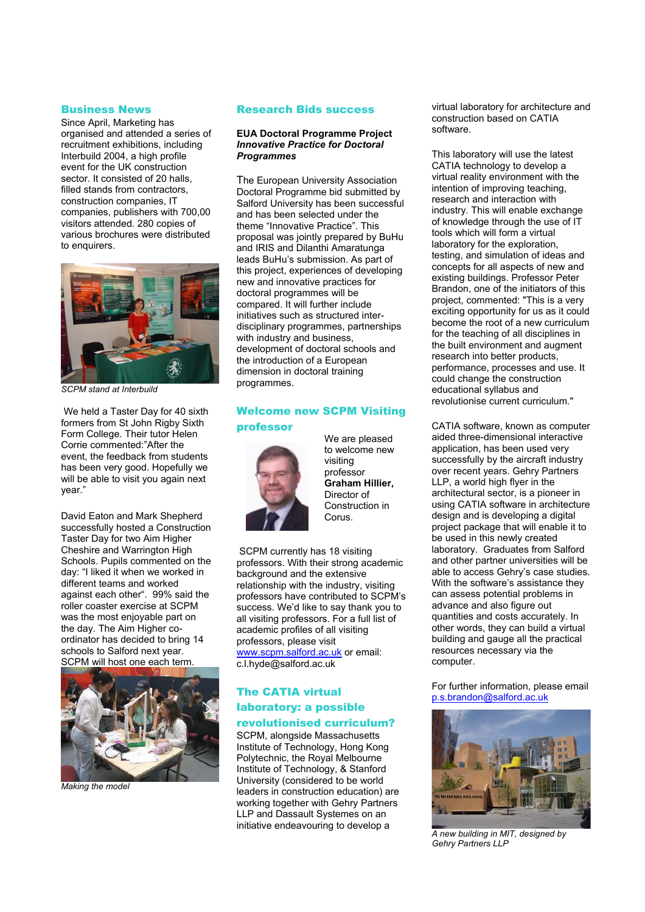#### Business News

Since April, Marketing has organised and attended a series of recruitment exhibitions, including Interbuild 2004, a high profile event for the UK construction sector. It consisted of 20 halls, filled stands from contractors. construction companies, IT companies, publishers with 700,00 visitors attended. 280 copies of various brochures were distributed to enquirers.



*SCPM stand at Interbuild*

 We held a Taster Day for 40 sixth formers from St John Rigby Sixth Form College. Their tutor Helen Corrie commented:"After the event, the feedback from students has been very good. Hopefully we will be able to visit you again next year."

David Eaton and Mark Shepherd successfully hosted a Construction Taster Day for two Aim Higher Cheshire and Warrington High Schools. Pupils commented on the day: "I liked it when we worked in different teams and worked against each other". 99% said the roller coaster exercise at SCPM was the most enjoyable part on the day. The Aim Higher coordinator has decided to bring 14 schools to Salford next year. SCPM will host one each term.



*Making the model* 

#### Research Bids success

#### **EUA Doctoral Programme Project**  *Innovative Practice for Doctoral Programmes*

The European University Association Doctoral Programme bid submitted by Salford University has been successful and has been selected under the theme "Innovative Practice". This proposal was jointly prepared by BuHu and IRIS and Dilanthi Amaratunga leads BuHu's submission. As part of this project, experiences of developing new and innovative practices for doctoral programmes will be compared. It will further include initiatives such as structured interdisciplinary programmes, partnerships with industry and business. development of doctoral schools and the introduction of a European dimension in doctoral training programmes.

# Welcome new SCPM Visiting professor



We are pleased to welcome new visiting professor **Graham Hillier,**  Director of Construction in Corus.

 SCPM currently has 18 visiting professors. With their strong academic background and the extensive relationship with the industry, visiting professors have contributed to SCPM's success. We'd like to say thank you to all visiting professors. For a full list of academic profiles of all visiting professors, please visit www.scpm.salford.ac.uk or email: c.l.hyde@salford.ac.uk

# The CATIA virtual laboratory: a possible revolutionised curriculum?

SCPM, alongside Massachusetts Institute of Technology, Hong Kong Polytechnic, the Royal Melbourne Institute of Technology, & Stanford University (considered to be world leaders in construction education) are working together with Gehry Partners LLP and Dassault Systemes on an initiative endeavouring to develop a

virtual laboratory for architecture and construction based on CATIA software.

This laboratory will use the latest CATIA technology to develop a virtual reality environment with the intention of improving teaching, research and interaction with industry. This will enable exchange of knowledge through the use of IT tools which will form a virtual laboratory for the exploration, testing, and simulation of ideas and concepts for all aspects of new and existing buildings. Professor Peter Brandon, one of the initiators of this project, commented: "This is a very exciting opportunity for us as it could become the root of a new curriculum for the teaching of all disciplines in the built environment and augment research into better products, performance, processes and use. It could change the construction educational syllabus and revolutionise current curriculum."

CATIA software, known as computer aided three-dimensional interactive application, has been used very successfully by the aircraft industry over recent years. Gehry Partners LLP, a world high flyer in the architectural sector, is a pioneer in using CATIA software in architecture design and is developing a digital project package that will enable it to be used in this newly created laboratory. Graduates from Salford and other partner universities will be able to access Gehry's case studies. With the software's assistance they can assess potential problems in advance and also figure out quantities and costs accurately. In other words, they can build a virtual building and gauge all the practical resources necessary via the computer.

For further information, please email p.s.brandon@salford.ac.uk



*A new building in MIT, designed by Gehry Partners LLP*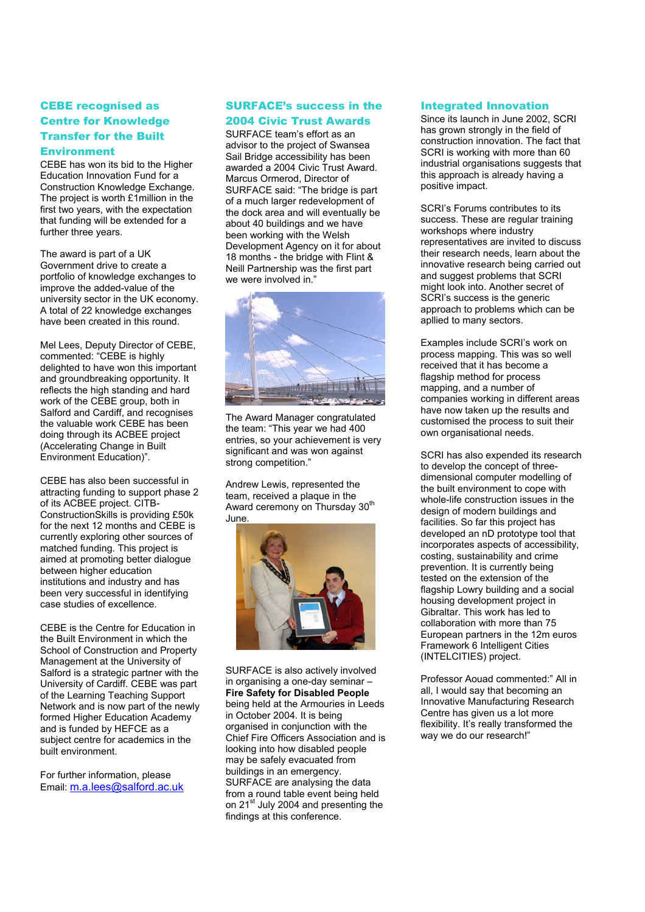# CEBE recognised as Centre for Knowledge Transfer for the Built **Environment**

CEBE has won its bid to the Higher Education Innovation Fund for a Construction Knowledge Exchange. The project is worth £1million in the first two years, with the expectation that funding will be extended for a further three years.

The award is part of a UK Government drive to create a portfolio of knowledge exchanges to improve the added-value of the university sector in the UK economy. A total of 22 knowledge exchanges have been created in this round.

Mel Lees, Deputy Director of CEBE, commented: "CEBE is highly delighted to have won this important and groundbreaking opportunity. It reflects the high standing and hard work of the CEBE group, both in Salford and Cardiff, and recognises the valuable work CEBE has been doing through its ACBEE project (Accelerating Change in Built Environment Education)".

CEBE has also been successful in attracting funding to support phase 2 of its ACBEE project. CITB-ConstructionSkills is providing £50k for the next 12 months and CEBE is currently exploring other sources of matched funding. This project is aimed at promoting better dialogue between higher education institutions and industry and has been very successful in identifying case studies of excellence.

CEBE is the Centre for Education in the Built Environment in which the School of Construction and Property Management at the University of Salford is a strategic partner with the University of Cardiff. CEBE was part of the Learning Teaching Support Network and is now part of the newly formed Higher Education Academy and is funded by HEFCE as a subject centre for academics in the built environment.

For further information, please Email: m.a.lees@salford.ac.uk

#### SURFACE's success in the

#### 2004 Civic Trust Awards

SURFACE team's effort as an advisor to the project of Swansea Sail Bridge accessibility has been awarded a 2004 Civic Trust Award. Marcus Ormerod, Director of SURFACE said: "The bridge is part of a much larger redevelopment of the dock area and will eventually be about 40 buildings and we have been working with the Welsh Development Agency on it for about 18 months - the bridge with Flint & Neill Partnership was the first part we were involved in."



The Award Manager congratulated the team: "This year we had 400 entries, so your achievement is very significant and was won against strong competition."

Andrew Lewis, represented the team, received a plaque in the Award ceremony on Thursday 30<sup>th</sup> June.



SURFACE is also actively involved in organising a one-day seminar – **Fire Safety for Disabled People** being held at the Armouries in Leeds in October 2004. It is being organised in conjunction with the Chief Fire Officers Association and is looking into how disabled people may be safely evacuated from buildings in an emergency. SURFACE are analysing the data from a round table event being held on 21<sup>st</sup> July 2004 and presenting the findings at this conference.

#### Integrated Innovation

Since its launch in June 2002, SCRI has grown strongly in the field of construction innovation. The fact that SCRI is working with more than 60 industrial organisations suggests that this approach is already having a positive impact.

SCRI's Forums contributes to its success. These are regular training workshops where industry representatives are invited to discuss their research needs, learn about the innovative research being carried out and suggest problems that SCRI might look into. Another secret of SCRI's success is the generic approach to problems which can be apllied to many sectors.

Examples include SCRI's work on process mapping. This was so well received that it has become a flagship method for process mapping, and a number of companies working in different areas have now taken up the results and customised the process to suit their own organisational needs.

SCRI has also expended its research to develop the concept of threedimensional computer modelling of the built environment to cope with whole-life construction issues in the design of modern buildings and facilities. So far this project has developed an nD prototype tool that incorporates aspects of accessibility, costing, sustainability and crime prevention. It is currently being tested on the extension of the flagship Lowry building and a social housing development project in Gibraltar. This work has led to collaboration with more than 75 European partners in the 12m euros Framework 6 Intelligent Cities (INTELCITIES) project.

Professor Aouad commented:" All in all, I would say that becoming an Innovative Manufacturing Research Centre has given us a lot more flexibility. It's really transformed the way we do our research!"